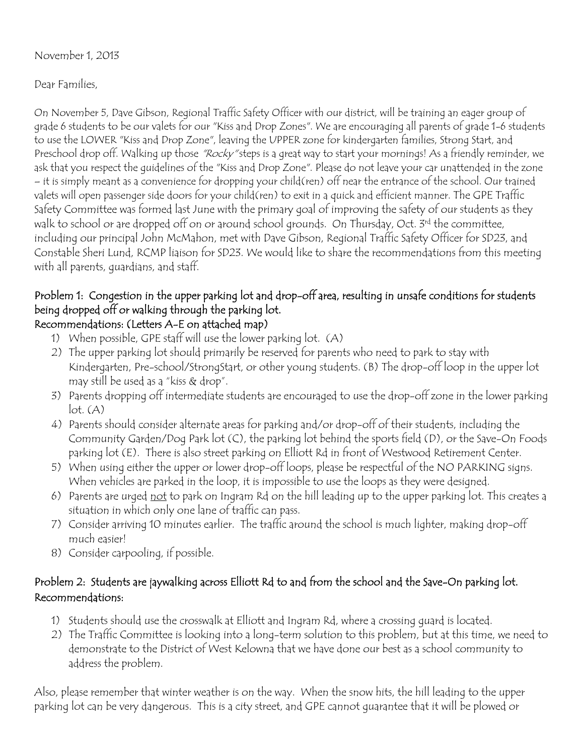#### November 1, 2013

### Dear Families,

On November 5, Dave Gibson, Regional Traffic Safety Officer with our district, will be training an eager group of grade 6 students to be our valets for our "Kiss and Drop Zones". We are encouraging all parents of grade 1-6 students to use the LOWER "Kiss and Drop Zone", leaving the UPPER zone for kindergarten families, Strong Start, and Preschool drop off. Walking up those *"Rocky"* steps is a great way to start your mornings! As a friendly reminder, we ask that you respect the guidelines of the "Kiss and Drop Zone". Please do not leave your car unattended in the zone – it is simply meant as a convenience for dropping your child(ren) off near the entrance of the school. Our trained valets will open passenger side doors for your child(ren) to exit in a quick and efficient manner. The GPE Traffic Safety Committee was formed last June with the primary goal of improving the safety of our students as they walk to school or are dropped off on or around school grounds. On Thursday, Oct. 3rd the committee, including our principal John McMahon, met with Dave Gibson, Regional Traffic Safety Officer for SD23, and Constable Sheri Lund, RCMP liaison for SD23. We would like to share the recommendations from this meeting with all parents, guardians, and staff.

# Problem 1: Congestion in the upper parking lot and drop-off area, resulting in unsafe conditions for students being dropped off or walking through the parking lot.

## Recommendations: (Letters A-E on attached map)

- 1) When possible, GPE staff will use the lower parking lot. (A)
- 2) The upper parking lot should primarily be reserved for parents who need to park to stay with Kindergarten, Pre-school/StrongStart, or other young students. (B) The drop-off loop in the upper lot may still be used as a "kiss & drop".
- 3) Parents dropping off intermediate students are encouraged to use the drop-off zone in the lower parking  $lot. (A)$
- 4) Parents should consider alternate areas for parking and/or drop-off of their students, including the Community Garden/Dog Park lot (C), the parking lot behind the sports field (D), or the Save-On Foods parking lot (E). There is also street parking on Elliott Rd in front of Westwood Retirement Center.
- 5) When using either the upper or lower drop-off loops, please be respectful of the NO PARKING signs. When vehicles are parked in the loop, it is impossible to use the loops as they were designed.
- 6) Parents are urged not to park on Ingram Rd on the hill leading up to the upper parking lot. This creates a situation in which only one lane of traffic can pass.
- 7) Consider arriving 10 minutes earlier. The traffic around the school is much lighter, making drop-off much easier!
- 8) Consider carpooling, if possible.

## Problem 2: Students are jaywalking across Elliott Rd to and from the school and the Save-On parking lot. Recommendations:

- 1) Students should use the crosswalk at Elliott and Ingram Rd, where a crossing guard is located.
- 2) The Traffic Committee is looking into a long-term solution to this problem, but at this time, we need to demonstrate to the District of West Kelowna that we have done our best as a school community to address the problem.

Also, please remember that winter weather is on the way. When the snow hits, the hill leading to the upper parking lot can be very dangerous. This is a city street, and GPE cannot guarantee that it will be plowed or